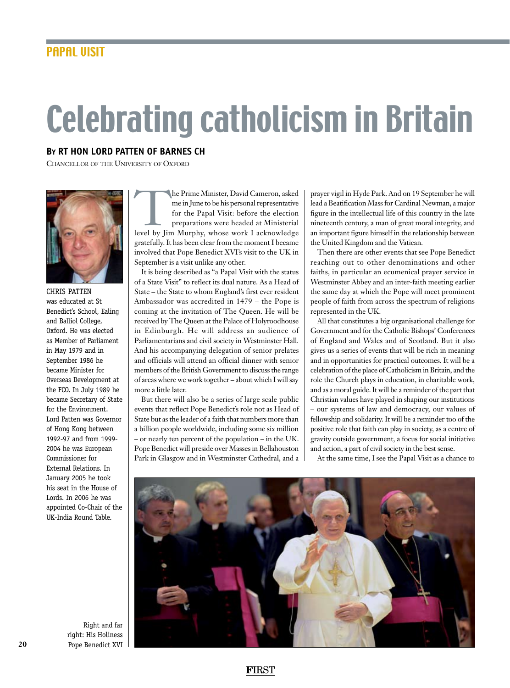## Celebrating catholicism in Britain

## **By Rt Hon Lord patten of barnes ch**

CHANCELLOR OF THE UNIVERSITY OF OXFORD



Chris patten was educated at St Benedict's School, Ealing and Balliol College, Oxford. He was elected as Member of Parliament in May 1979 and in September 1986 he became Minister for Overseas Development at the FCO. In July 1989 he became Secretary of State for the Environment. Lord Patten was Governor of Hong Kong between 1992-97 and from 1999- 2004 he was European Commissioner for External Relations. In January 2005 he took his seat in the House of Lords. In 2006 he was appointed Co-Chair of the UK-India Round Table.

The Prime Minister, David Cameron, asked<br>
me in June to be his personal representative<br>
for the Papal Visit: before the election<br>
preparations were headed at Ministerial<br>
level by Jim Murphy, whose work I acknowledge me in June to be his personal representative for the Papal Visit: before the election preparations were headed at Ministerial gratefully. It has been clear from the moment I became involved that Pope Benedict XVI's visit to the UK in September is a visit unlike any other.

It is being described as "a Papal Visit with the status of a State Visit" to reflect its dual nature. As a Head of State – the State to whom England's first ever resident Ambassador was accredited in 1479 – the Pope is coming at the invitation of The Queen. He will be received by The Queen at the Palace of Holyroodhouse in Edinburgh. He will address an audience of Parliamentarians and civil society in Westminster Hall. And his accompanying delegation of senior prelates and officials will attend an official dinner with senior members of the British Government to discuss the range of areas where we work together – about which I will say more a little later.

But there will also be a series of large scale public events that reflect Pope Benedict's role not as Head of State but as the leader of a faith that numbers more than a billion people worldwide, including some six million – or nearly ten percent of the population – in the UK. Pope Benedict will preside over Masses in Bellahouston Park in Glasgow and in Westminster Cathedral, and a

prayer vigil in Hyde Park. And on 19 September he will lead a Beatification Mass for Cardinal Newman, a major figure in the intellectual life of this country in the late nineteenth century, a man of great moral integrity, and an important figure himself in the relationship between the United Kingdom and the Vatican.

Then there are other events that see Pope Benedict reaching out to other denominations and other faiths, in particular an ecumenical prayer service in Westminster Abbey and an inter-faith meeting earlier the same day at which the Pope will meet prominent people of faith from across the spectrum of religions represented in the UK.

All that constitutes a big organisational challenge for Government and for the Catholic Bishops' Conferences of England and Wales and of Scotland. But it also gives us a series of events that will be rich in meaning and in opportunities for practical outcomes. It will be a celebration of the place of Catholicism in Britain, and the role the Church plays in education, in charitable work, and as a moral guide. It will be a reminder of the part that Christian values have played in shaping our institutions – our systems of law and democracy, our values of fellowship and solidarity. It will be a reminder too of the positive role that faith can play in society, as a centre of gravity outside government, a focus for social initiative and action, a part of civil society in the best sense.

At the same time, I see the Papal Visit as a chance to



Right and far right: His Holiness Pope Benedict XVI